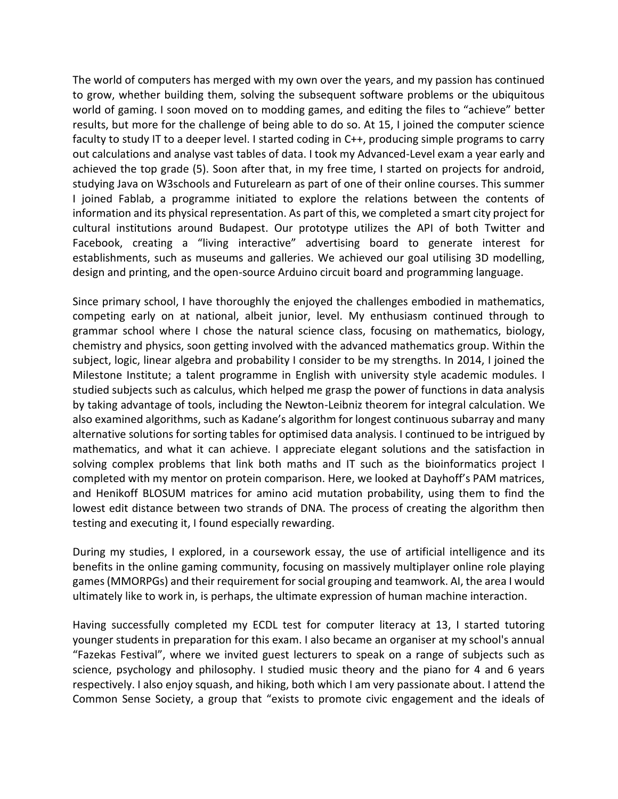The world of computers has merged with my own over the years, and my passion has continued to grow, whether building them, solving the subsequent software problems or the ubiquitous world of gaming. I soon moved on to modding games, and editing the files to "achieve" better results, but more for the challenge of being able to do so. At 15, I joined the computer science faculty to study IT to a deeper level. I started coding in C++, producing simple programs to carry out calculations and analyse vast tables of data. I took my Advanced-Level exam a year early and achieved the top grade (5). Soon after that, in my free time, I started on projects for android, studying Java on W3schools and Futurelearn as part of one of their online courses. This summer I joined Fablab, a programme initiated to explore the relations between the contents of information and its physical representation. As part of this, we completed a smart city project for cultural institutions around Budapest. Our prototype utilizes the API of both Twitter and Facebook, creating a "living interactive" advertising board to generate interest for establishments, such as museums and galleries. We achieved our goal utilising 3D modelling, design and printing, and the open-source Arduino circuit board and programming language.

Since primary school, I have thoroughly the enjoyed the challenges embodied in mathematics, competing early on at national, albeit junior, level. My enthusiasm continued through to grammar school where I chose the natural science class, focusing on mathematics, biology, chemistry and physics, soon getting involved with the advanced mathematics group. Within the subject, logic, linear algebra and probability I consider to be my strengths. In 2014, I joined the Milestone Institute; a talent programme in English with university style academic modules. I studied subjects such as calculus, which helped me grasp the power of functions in data analysis by taking advantage of tools, including the Newton-Leibniz theorem for integral calculation. We also examined algorithms, such as Kadane's algorithm for longest continuous subarray and many alternative solutions for sorting tables for optimised data analysis. I continued to be intrigued by mathematics, and what it can achieve. I appreciate elegant solutions and the satisfaction in solving complex problems that link both maths and IT such as the bioinformatics project I completed with my mentor on protein comparison. Here, we looked at Dayhoff's PAM matrices, and Henikoff BLOSUM matrices for amino acid mutation probability, using them to find the lowest edit distance between two strands of DNA. The process of creating the algorithm then testing and executing it, I found especially rewarding.

During my studies, I explored, in a coursework essay, the use of artificial intelligence and its benefits in the online gaming community, focusing on massively multiplayer online role playing games (MMORPGs) and their requirement for social grouping and teamwork. AI, the area I would ultimately like to work in, is perhaps, the ultimate expression of human machine interaction.

Having successfully completed my ECDL test for computer literacy at 13, I started tutoring younger students in preparation for this exam. I also became an organiser at my school's annual "Fazekas Festival", where we invited guest lecturers to speak on a range of subjects such as science, psychology and philosophy. I studied music theory and the piano for 4 and 6 years respectively. I also enjoy squash, and hiking, both which I am very passionate about. I attend the Common Sense Society, a group that "exists to promote civic engagement and the ideals of